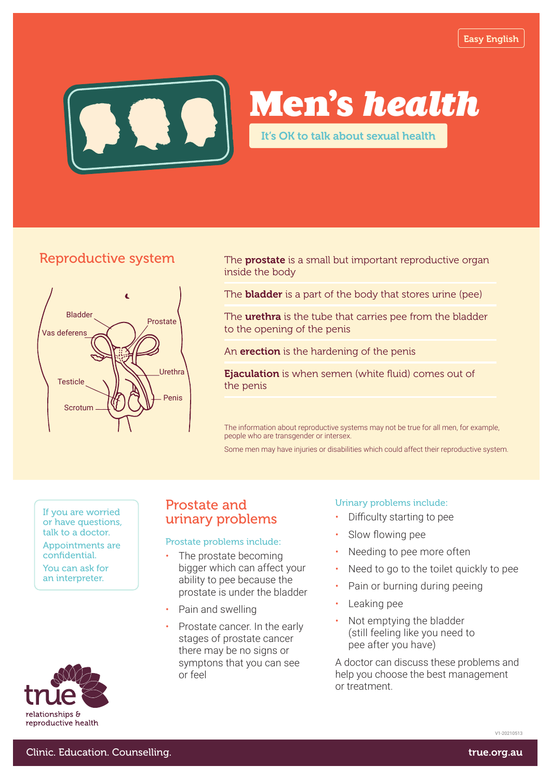

# Men's *health*

It's OK to talk about sexual health

# Reproductive system



The **prostate** is a small but important reproductive organ inside the body

The **bladder** is a part of the body that stores urine (pee)

The **urethra** is the tube that carries pee from the bladder to the opening of the penis

An **erection** is the hardening of the penis

Ejaculation is when semen (white fluid) comes out of the penis

The information about reproductive systems may not be true for all men, for example, people who are transgender or intersex.

Some men may have injuries or disabilities which could affect their reproductive system.

or have questions, talk to a doctor.

Appointments are confidential.

You can ask for an interpreter.



# Prostate and If you are worried<br>
or have questions. **If you are urinary problems**

### Prostate problems include:

- The prostate becoming bigger which can affect your ability to pee because the prostate is under the bladder
- Pain and swelling
- Prostate cancer. In the early stages of prostate cancer there may be no signs or symptons that you can see or feel

#### Urinary problems include:

- Difficulty starting to pee
- Slow flowing pee
- Needing to pee more often
- Need to go to the toilet quickly to pee
- Pain or burning during peeing
- Leaking pee
- Not emptying the bladder (still feeling like you need to pee after you have)

A doctor can discuss these problems and help you choose the best management or treatment.

V1-20210513